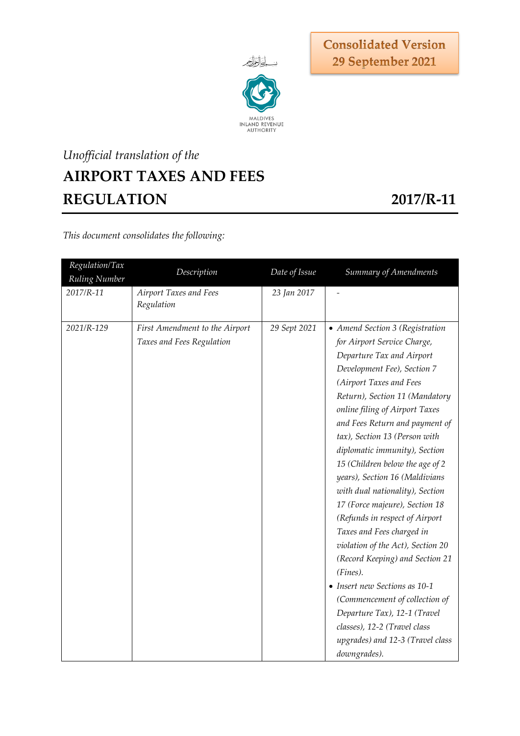

**Consolidated Version** 29 September 2021

# *Unofficial translation of the* **AIRPORT TAXES AND FEES REGULATION 2017/R-11**

*This document consolidates the following:*

| Regulation/Tax<br>Ruling Number | Description                                                 | Date of Issue | Summary of Amendments                                                                                                                                                                                                                                                                                                                                                                                                                                                                                                                                                                                                                                                                                                                                                                                             |
|---------------------------------|-------------------------------------------------------------|---------------|-------------------------------------------------------------------------------------------------------------------------------------------------------------------------------------------------------------------------------------------------------------------------------------------------------------------------------------------------------------------------------------------------------------------------------------------------------------------------------------------------------------------------------------------------------------------------------------------------------------------------------------------------------------------------------------------------------------------------------------------------------------------------------------------------------------------|
| 2017/R-11                       | Airport Taxes and Fees<br>Regulation                        | 23 Jan 2017   |                                                                                                                                                                                                                                                                                                                                                                                                                                                                                                                                                                                                                                                                                                                                                                                                                   |
| 2021/R-129                      | First Amendment to the Airport<br>Taxes and Fees Regulation | 29 Sept 2021  | • Amend Section 3 (Registration<br>for Airport Service Charge,<br>Departure Tax and Airport<br>Development Fee), Section 7<br>(Airport Taxes and Fees<br>Return), Section 11 (Mandatory<br>online filing of Airport Taxes<br>and Fees Return and payment of<br>tax), Section 13 (Person with<br>diplomatic immunity), Section<br>15 (Children below the age of 2<br>years), Section 16 (Maldivians<br>with dual nationality), Section<br>17 (Force majeure), Section 18<br>(Refunds in respect of Airport<br>Taxes and Fees charged in<br>violation of the Act), Section 20<br>(Record Keeping) and Section 21<br>(Fines).<br>• Insert new Sections as 10-1<br>(Commencement of collection of<br>Departure Tax), 12-1 (Travel<br>classes), 12-2 (Travel class<br>upgrades) and 12-3 (Travel class<br>downgrades). |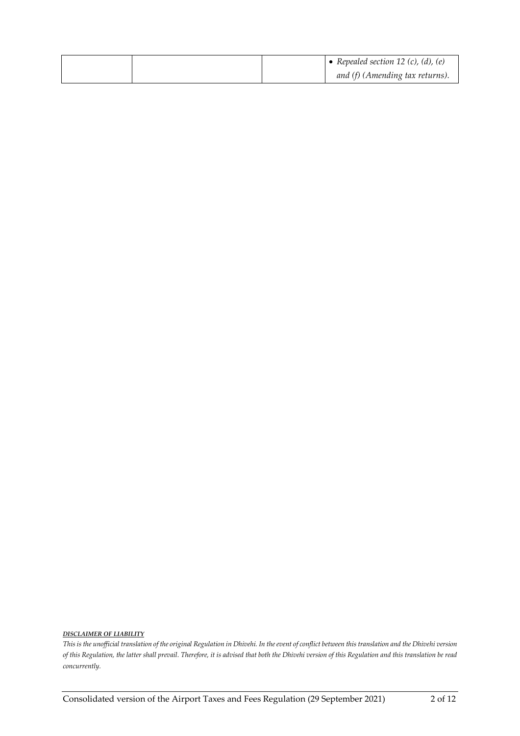|  | • Repealed section 12 (c), (d), (e) |
|--|-------------------------------------|
|  | and (f) (Amending tax returns).     |

#### *DISCLAIMER OF LIABILITY*

*This is the unofficial translation of the original Regulation in Dhivehi. In the event of conflict between this translation and the Dhivehi version of this Regulation, the latter shall prevail. Therefore, it is advised that both the Dhivehi version of this Regulation and this translation be read concurrently.*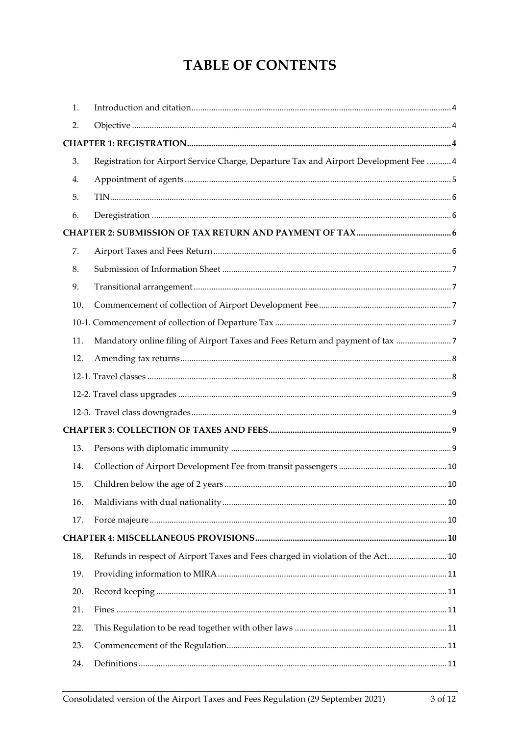# **TABLE OF CONTENTS**

| 1.  |                                                                                       |  |
|-----|---------------------------------------------------------------------------------------|--|
| 2.  |                                                                                       |  |
|     |                                                                                       |  |
| 3.  | Registration for Airport Service Charge, Departure Tax and Airport Development Fee  4 |  |
| 4.  |                                                                                       |  |
| 5.  |                                                                                       |  |
| 6.  |                                                                                       |  |
|     |                                                                                       |  |
| 7.  |                                                                                       |  |
| 8.  |                                                                                       |  |
| 9.  |                                                                                       |  |
| 10. |                                                                                       |  |
|     |                                                                                       |  |
| 11. | Mandatory online filing of Airport Taxes and Fees Return and payment of tax           |  |
| 12. |                                                                                       |  |
|     |                                                                                       |  |
|     |                                                                                       |  |
|     |                                                                                       |  |
|     |                                                                                       |  |
| 13. |                                                                                       |  |
| 14. |                                                                                       |  |
| 15. |                                                                                       |  |
| 16. |                                                                                       |  |
| 17. |                                                                                       |  |
|     |                                                                                       |  |
| 18. | Refunds in respect of Airport Taxes and Fees charged in violation of the Act 10       |  |
| 19. |                                                                                       |  |
| 20. |                                                                                       |  |
| 21. |                                                                                       |  |
| 22. |                                                                                       |  |
| 23. |                                                                                       |  |
| 24. |                                                                                       |  |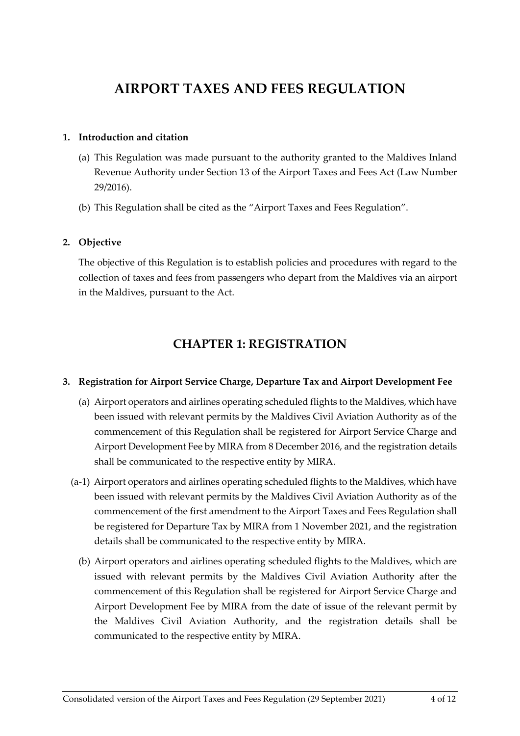# **AIRPORT TAXES AND FEES REGULATION**

# <span id="page-3-0"></span>**1. Introduction and citation**

- (a) This Regulation was made pursuant to the authority granted to the Maldives Inland Revenue Authority under Section 13 of the Airport Taxes and Fees Act (Law Number 29/2016).
- (b) This Regulation shall be cited as the "Airport Taxes and Fees Regulation".

## <span id="page-3-1"></span>**2. Objective**

The objective of this Regulation is to establish policies and procedures with regard to the collection of taxes and fees from passengers who depart from the Maldives via an airport in the Maldives, pursuant to the Act.

# **CHAPTER 1: REGISTRATION**

# <span id="page-3-3"></span><span id="page-3-2"></span>**3. Registration for Airport Service Charge, Departure Tax and Airport Development Fee**

- (a) Airport operators and airlines operating scheduled flights to the Maldives, which have been issued with relevant permits by the Maldives Civil Aviation Authority as of the commencement of this Regulation shall be registered for Airport Service Charge and Airport Development Fee by MIRA from 8 December 2016, and the registration details shall be communicated to the respective entity by MIRA.
- (a-1) Airport operators and airlines operating scheduled flights to the Maldives, which have been issued with relevant permits by the Maldives Civil Aviation Authority as of the commencement of the first amendment to the Airport Taxes and Fees Regulation shall be registered for Departure Tax by MIRA from 1 November 2021, and the registration details shall be communicated to the respective entity by MIRA.
	- (b) Airport operators and airlines operating scheduled flights to the Maldives, which are issued with relevant permits by the Maldives Civil Aviation Authority after the commencement of this Regulation shall be registered for Airport Service Charge and Airport Development Fee by MIRA from the date of issue of the relevant permit by the Maldives Civil Aviation Authority, and the registration details shall be communicated to the respective entity by MIRA.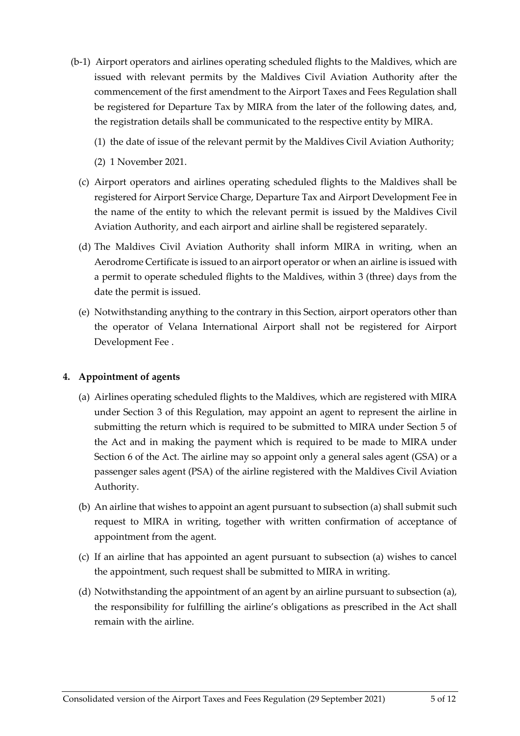- (b-1) Airport operators and airlines operating scheduled flights to the Maldives, which are issued with relevant permits by the Maldives Civil Aviation Authority after the commencement of the first amendment to the Airport Taxes and Fees Regulation shall be registered for Departure Tax by MIRA from the later of the following dates, and, the registration details shall be communicated to the respective entity by MIRA.
	- (1) the date of issue of the relevant permit by the Maldives Civil Aviation Authority;
	- (2) 1 November 2021.
	- (c) Airport operators and airlines operating scheduled flights to the Maldives shall be registered for Airport Service Charge, Departure Tax and Airport Development Fee in the name of the entity to which the relevant permit is issued by the Maldives Civil Aviation Authority, and each airport and airline shall be registered separately.
	- (d) The Maldives Civil Aviation Authority shall inform MIRA in writing, when an Aerodrome Certificate is issued to an airport operator or when an airline is issued with a permit to operate scheduled flights to the Maldives, within 3 (three) days from the date the permit is issued.
	- (e) Notwithstanding anything to the contrary in this Section, airport operators other than the operator of Velana International Airport shall not be registered for Airport Development Fee .

# <span id="page-4-0"></span>**4. Appointment of agents**

- (a) Airlines operating scheduled flights to the Maldives, which are registered with MIRA under Section 3 of this Regulation, may appoint an agent to represent the airline in submitting the return which is required to be submitted to MIRA under Section 5 of the Act and in making the payment which is required to be made to MIRA under Section 6 of the Act. The airline may so appoint only a general sales agent (GSA) or a passenger sales agent (PSA) of the airline registered with the Maldives Civil Aviation Authority.
- (b) An airline that wishes to appoint an agent pursuant to subsection (a) shall submit such request to MIRA in writing, together with written confirmation of acceptance of appointment from the agent.
- (c) If an airline that has appointed an agent pursuant to subsection (a) wishes to cancel the appointment, such request shall be submitted to MIRA in writing.
- (d) Notwithstanding the appointment of an agent by an airline pursuant to subsection (a), the responsibility for fulfilling the airline's obligations as prescribed in the Act shall remain with the airline.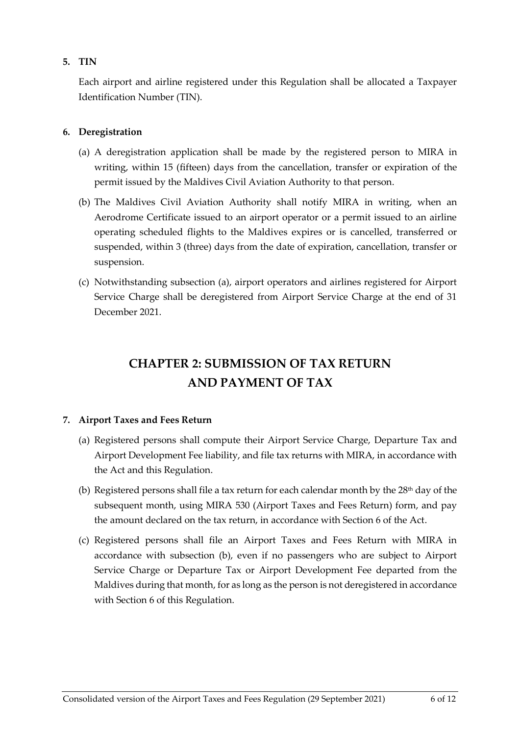# <span id="page-5-0"></span>**5. TIN**

Each airport and airline registered under this Regulation shall be allocated a Taxpayer Identification Number (TIN).

# <span id="page-5-1"></span>**6. Deregistration**

- (a) A deregistration application shall be made by the registered person to MIRA in writing, within 15 (fifteen) days from the cancellation, transfer or expiration of the permit issued by the Maldives Civil Aviation Authority to that person.
- (b) The Maldives Civil Aviation Authority shall notify MIRA in writing, when an Aerodrome Certificate issued to an airport operator or a permit issued to an airline operating scheduled flights to the Maldives expires or is cancelled, transferred or suspended, within 3 (three) days from the date of expiration, cancellation, transfer or suspension.
- (c) Notwithstanding subsection (a), airport operators and airlines registered for Airport Service Charge shall be deregistered from Airport Service Charge at the end of 31 December 2021.

# **CHAPTER 2: SUBMISSION OF TAX RETURN AND PAYMENT OF TAX**

# <span id="page-5-3"></span><span id="page-5-2"></span>**7. Airport Taxes and Fees Return**

- (a) Registered persons shall compute their Airport Service Charge, Departure Tax and Airport Development Fee liability, and file tax returns with MIRA, in accordance with the Act and this Regulation.
- (b) Registered persons shall file a tax return for each calendar month by the  $28<sup>th</sup>$  day of the subsequent month, using MIRA 530 (Airport Taxes and Fees Return) form, and pay the amount declared on the tax return, in accordance with Section 6 of the Act.
- (c) Registered persons shall file an Airport Taxes and Fees Return with MIRA in accordance with subsection (b), even if no passengers who are subject to Airport Service Charge or Departure Tax or Airport Development Fee departed from the Maldives during that month, for as long as the person is not deregistered in accordance with Section 6 of this Regulation.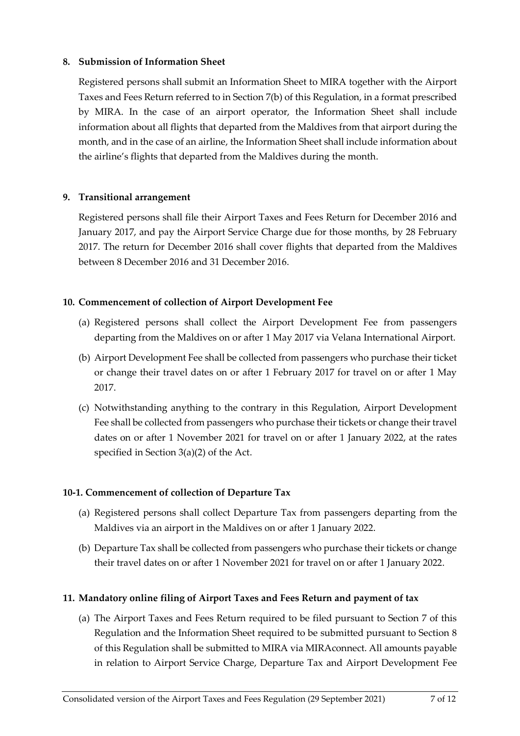# <span id="page-6-0"></span>**8. Submission of Information Sheet**

Registered persons shall submit an Information Sheet to MIRA together with the Airport Taxes and Fees Return referred to in Section 7(b) of this Regulation, in a format prescribed by MIRA. In the case of an airport operator, the Information Sheet shall include information about all flights that departed from the Maldives from that airport during the month, and in the case of an airline, the Information Sheet shall include information about the airline's flights that departed from the Maldives during the month.

# <span id="page-6-1"></span>**9. Transitional arrangement**

Registered persons shall file their Airport Taxes and Fees Return for December 2016 and January 2017, and pay the Airport Service Charge due for those months, by 28 February 2017. The return for December 2016 shall cover flights that departed from the Maldives between 8 December 2016 and 31 December 2016.

# <span id="page-6-2"></span>**10. Commencement of collection of Airport Development Fee**

- (a) Registered persons shall collect the Airport Development Fee from passengers departing from the Maldives on or after 1 May 2017 via Velana International Airport.
- (b) Airport Development Fee shall be collected from passengers who purchase their ticket or change their travel dates on or after 1 February 2017 for travel on or after 1 May 2017.
- (c) Notwithstanding anything to the contrary in this Regulation, Airport Development Fee shall be collected from passengers who purchase their tickets or change their travel dates on or after 1 November 2021 for travel on or after 1 January 2022, at the rates specified in Section 3(a)(2) of the Act.

# <span id="page-6-3"></span>**10-1. Commencement of collection of Departure Tax**

- (a) Registered persons shall collect Departure Tax from passengers departing from the Maldives via an airport in the Maldives on or after 1 January 2022.
- (b) Departure Tax shall be collected from passengers who purchase their tickets or change their travel dates on or after 1 November 2021 for travel on or after 1 January 2022.

# <span id="page-6-4"></span>**11. Mandatory online filing of Airport Taxes and Fees Return and payment of tax**

(a) The Airport Taxes and Fees Return required to be filed pursuant to Section 7 of this Regulation and the Information Sheet required to be submitted pursuant to Section 8 of this Regulation shall be submitted to MIRA via MIRAconnect. All amounts payable in relation to Airport Service Charge, Departure Tax and Airport Development Fee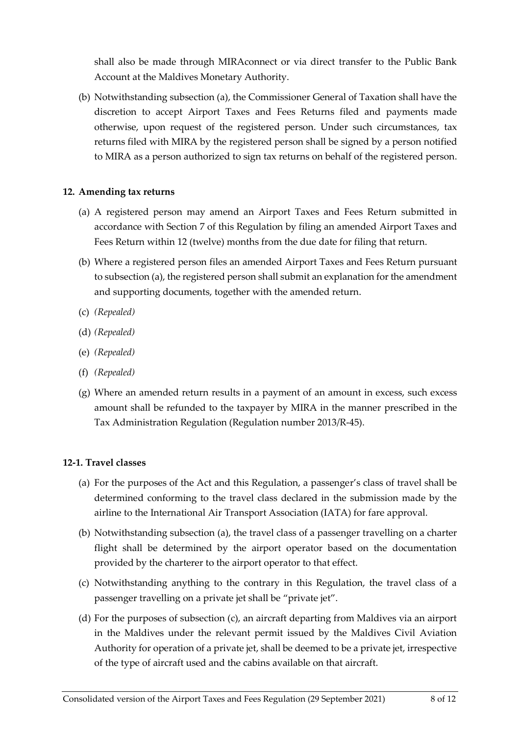shall also be made through MIRAconnect or via direct transfer to the Public Bank Account at the Maldives Monetary Authority.

(b) Notwithstanding subsection (a), the Commissioner General of Taxation shall have the discretion to accept Airport Taxes and Fees Returns filed and payments made otherwise, upon request of the registered person. Under such circumstances, tax returns filed with MIRA by the registered person shall be signed by a person notified to MIRA as a person authorized to sign tax returns on behalf of the registered person.

# <span id="page-7-0"></span>**12. Amending tax returns**

- (a) A registered person may amend an Airport Taxes and Fees Return submitted in accordance with Section 7 of this Regulation by filing an amended Airport Taxes and Fees Return within 12 (twelve) months from the due date for filing that return.
- (b) Where a registered person files an amended Airport Taxes and Fees Return pursuant to subsection (a), the registered person shall submit an explanation for the amendment and supporting documents, together with the amended return.
- (c) *(Repealed)*
- (d) *(Repealed)*
- (e) *(Repealed)*
- (f) *(Repealed)*
- (g) Where an amended return results in a payment of an amount in excess, such excess amount shall be refunded to the taxpayer by MIRA in the manner prescribed in the Tax Administration Regulation (Regulation number 2013/R-45).

# <span id="page-7-1"></span>**12-1. Travel classes**

- (a) For the purposes of the Act and this Regulation, a passenger's class of travel shall be determined conforming to the travel class declared in the submission made by the airline to the International Air Transport Association (IATA) for fare approval.
- (b) Notwithstanding subsection (a), the travel class of a passenger travelling on a charter flight shall be determined by the airport operator based on the documentation provided by the charterer to the airport operator to that effect.
- (c) Notwithstanding anything to the contrary in this Regulation, the travel class of a passenger travelling on a private jet shall be "private jet".
- (d) For the purposes of subsection (c), an aircraft departing from Maldives via an airport in the Maldives under the relevant permit issued by the Maldives Civil Aviation Authority for operation of a private jet, shall be deemed to be a private jet, irrespective of the type of aircraft used and the cabins available on that aircraft.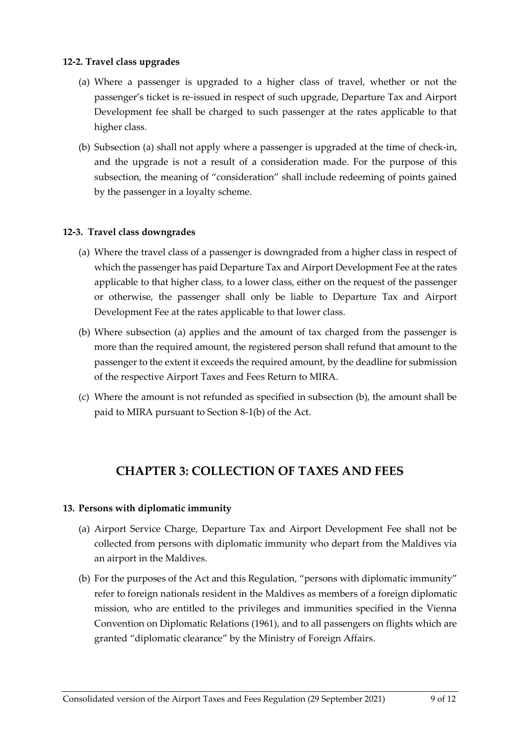## <span id="page-8-0"></span>**12-2. Travel class upgrades**

- (a) Where a passenger is upgraded to a higher class of travel, whether or not the passenger's ticket is re-issued in respect of such upgrade, Departure Tax and Airport Development fee shall be charged to such passenger at the rates applicable to that higher class.
- (b) Subsection (a) shall not apply where a passenger is upgraded at the time of check-in, and the upgrade is not a result of a consideration made. For the purpose of this subsection, the meaning of "consideration" shall include redeeming of points gained by the passenger in a loyalty scheme.

# <span id="page-8-1"></span>**12-3. Travel class downgrades**

- (a) Where the travel class of a passenger is downgraded from a higher class in respect of which the passenger has paid Departure Tax and Airport Development Fee at the rates applicable to that higher class, to a lower class, either on the request of the passenger or otherwise, the passenger shall only be liable to Departure Tax and Airport Development Fee at the rates applicable to that lower class.
- (b) Where subsection (a) applies and the amount of tax charged from the passenger is more than the required amount, the registered person shall refund that amount to the passenger to the extent it exceeds the required amount, by the deadline for submission of the respective Airport Taxes and Fees Return to MIRA.
- (c) Where the amount is not refunded as specified in subsection (b), the amount shall be paid to MIRA pursuant to Section 8-1(b) of the Act.

# **CHAPTER 3: COLLECTION OF TAXES AND FEES**

#### <span id="page-8-3"></span><span id="page-8-2"></span>**13. Persons with diplomatic immunity**

- (a) Airport Service Charge, Departure Tax and Airport Development Fee shall not be collected from persons with diplomatic immunity who depart from the Maldives via an airport in the Maldives.
- (b) For the purposes of the Act and this Regulation, "persons with diplomatic immunity" refer to foreign nationals resident in the Maldives as members of a foreign diplomatic mission, who are entitled to the privileges and immunities specified in the Vienna Convention on Diplomatic Relations (1961), and to all passengers on flights which are granted "diplomatic clearance" by the Ministry of Foreign Affairs.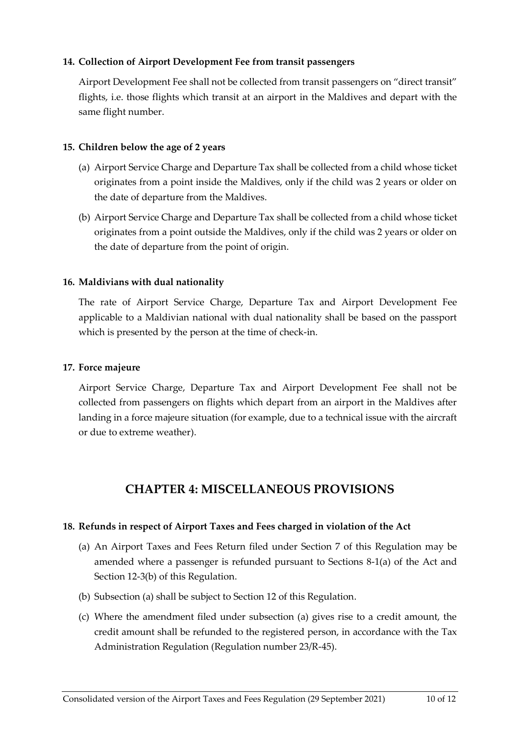# <span id="page-9-0"></span>**14. Collection of Airport Development Fee from transit passengers**

Airport Development Fee shall not be collected from transit passengers on "direct transit" flights, i.e. those flights which transit at an airport in the Maldives and depart with the same flight number.

## <span id="page-9-1"></span>**15. Children below the age of 2 years**

- (a) Airport Service Charge and Departure Tax shall be collected from a child whose ticket originates from a point inside the Maldives, only if the child was 2 years or older on the date of departure from the Maldives.
- (b) Airport Service Charge and Departure Tax shall be collected from a child whose ticket originates from a point outside the Maldives, only if the child was 2 years or older on the date of departure from the point of origin.

# <span id="page-9-2"></span>**16. Maldivians with dual nationality**

The rate of Airport Service Charge, Departure Tax and Airport Development Fee applicable to a Maldivian national with dual nationality shall be based on the passport which is presented by the person at the time of check-in.

## <span id="page-9-3"></span>**17. Force majeure**

Airport Service Charge, Departure Tax and Airport Development Fee shall not be collected from passengers on flights which depart from an airport in the Maldives after landing in a force majeure situation (for example, due to a technical issue with the aircraft or due to extreme weather).

# **CHAPTER 4: MISCELLANEOUS PROVISIONS**

# <span id="page-9-5"></span><span id="page-9-4"></span>**18. Refunds in respect of Airport Taxes and Fees charged in violation of the Act**

- (a) An Airport Taxes and Fees Return filed under Section 7 of this Regulation may be amended where a passenger is refunded pursuant to Sections 8-1(a) of the Act and Section 12-3(b) of this Regulation.
- (b) Subsection (a) shall be subject to Section 12 of this Regulation.
- (c) Where the amendment filed under subsection (a) gives rise to a credit amount, the credit amount shall be refunded to the registered person, in accordance with the Tax Administration Regulation (Regulation number 23/R-45).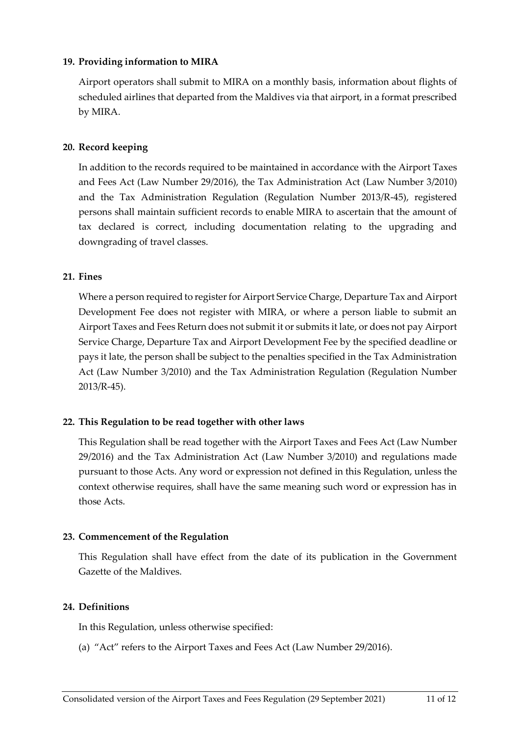# <span id="page-10-0"></span>**19. Providing information to MIRA**

Airport operators shall submit to MIRA on a monthly basis, information about flights of scheduled airlines that departed from the Maldives via that airport, in a format prescribed by MIRA.

## <span id="page-10-1"></span>**20. Record keeping**

In addition to the records required to be maintained in accordance with the Airport Taxes and Fees Act (Law Number 29/2016), the Tax Administration Act (Law Number 3/2010) and the Tax Administration Regulation (Regulation Number 2013/R-45), registered persons shall maintain sufficient records to enable MIRA to ascertain that the amount of tax declared is correct, including documentation relating to the upgrading and downgrading of travel classes.

## <span id="page-10-2"></span>**21. Fines**

Where a person required to register for Airport Service Charge, Departure Tax and Airport Development Fee does not register with MIRA, or where a person liable to submit an Airport Taxes and Fees Return does not submit it or submits it late, or does not pay Airport Service Charge, Departure Tax and Airport Development Fee by the specified deadline or pays it late, the person shall be subject to the penalties specified in the Tax Administration Act (Law Number 3/2010) and the Tax Administration Regulation (Regulation Number 2013/R-45).

# <span id="page-10-3"></span>**22. This Regulation to be read together with other laws**

This Regulation shall be read together with the Airport Taxes and Fees Act (Law Number 29/2016) and the Tax Administration Act (Law Number 3/2010) and regulations made pursuant to those Acts. Any word or expression not defined in this Regulation, unless the context otherwise requires, shall have the same meaning such word or expression has in those Acts.

#### <span id="page-10-4"></span>**23. Commencement of the Regulation**

This Regulation shall have effect from the date of its publication in the Government Gazette of the Maldives.

# <span id="page-10-5"></span>**24. Definitions**

In this Regulation, unless otherwise specified:

(a) "Act" refers to the Airport Taxes and Fees Act (Law Number 29/2016).